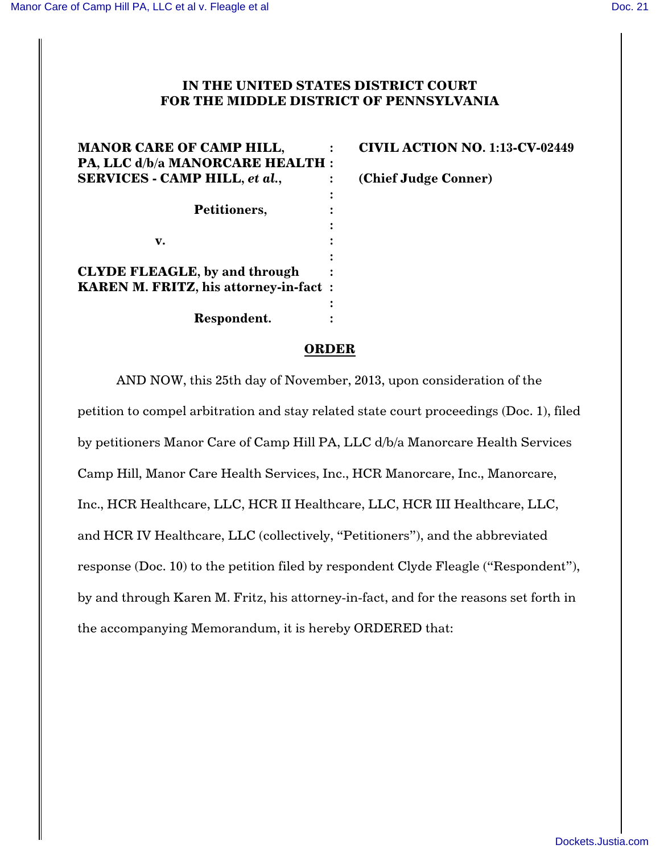## **IN THE UNITED STATES DISTRICT COURT FOR THE MIDDLE DISTRICT OF PENNSYLVANIA**

| <b>MANOR CARE OF CAMP HILL,</b><br>PA, LLC d/b/a MANORCARE HEALTH : | <b>CIVIL ACTION NO. 1:13-CV-02449</b> |
|---------------------------------------------------------------------|---------------------------------------|
| <b>SERVICES - CAMP HILL, et al.,</b>                                | (Chief Judge Conner)                  |
| Petitioners,                                                        | ٠                                     |
|                                                                     |                                       |
| v.                                                                  |                                       |
| <b>CLYDE FLEAGLE, by and through</b>                                |                                       |
| <b>KAREN M. FRITZ, his attorney-in-fact:</b>                        |                                       |
| Respondent.                                                         |                                       |
|                                                                     |                                       |

## **ORDER**

AND NOW, this 25th day of November, 2013, upon consideration of the petition to compel arbitration and stay related state court proceedings (Doc. 1), filed by petitioners Manor Care of Camp Hill PA, LLC d/b/a Manorcare Health Services Camp Hill, Manor Care Health Services, Inc., HCR Manorcare, Inc., Manorcare, Inc., HCR Healthcare, LLC, HCR II Healthcare, LLC, HCR III Healthcare, LLC, and HCR IV Healthcare, LLC (collectively, "Petitioners"), and the abbreviated response (Doc. 10) to the petition filed by respondent Clyde Fleagle ("Respondent"), by and through Karen M. Fritz, his attorney-in-fact, and for the reasons set forth in the accompanying Memorandum, it is hereby ORDERED that: